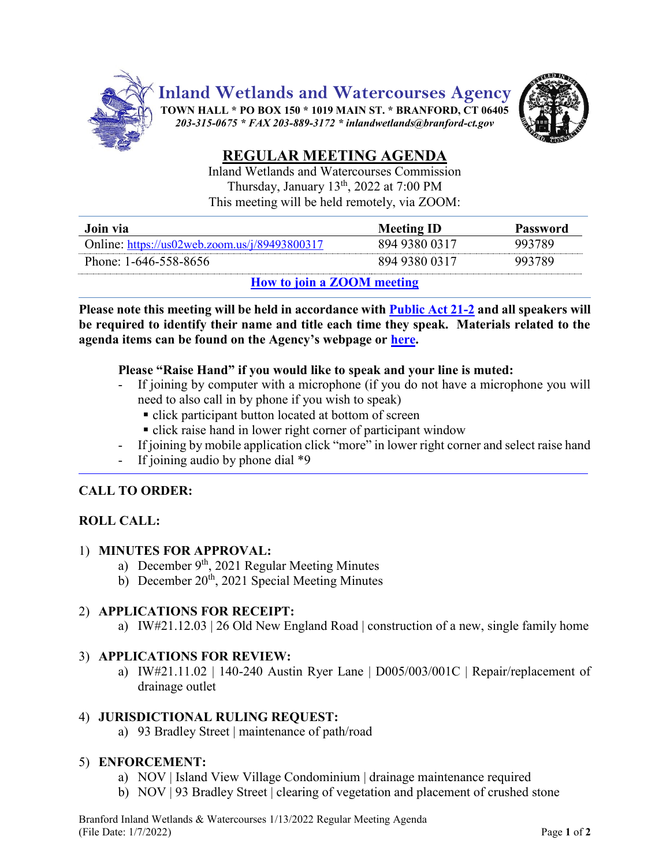

# Inland Wetlands and Watercourses Commission

Thursday, January 13<sup>th</sup>, 2022 at 7:00 PM This meeting will be held remotely, via ZOOM:

| Join via                                      | <b>Meeting ID</b> | Password |
|-----------------------------------------------|-------------------|----------|
| Online: https://us02web.zoom.us/j/89493800317 | 894 9380 0317     | 993789   |
| Phone: 1-646-558-8656                         | 894 9380 0317     | 993789   |
| $T \cap T$                                    |                   |          |

## **How [to join a ZOOM meeting](https://www.youtube.com/embed/hIkCmbvAHQQ?rel=0&autoplay=1&cc_load_policy=1)**

**Please note this meeting will be held in accordance wit[h Public Act 21-2](https://www.cga.ct.gov/2021/ACT/PA/PDF/2021PA-00002-R00SB-01202SS1-PA.PDF) and all speakers will be required to identify their name and title each time they speak. Materials related to the agenda items can be found on the Agency's webpage or [here.](https://www.dropbox.com/sh/lv22y22qgcpnnih/AAADCZg7x6PndDIIQ5nj6g2Fa?dl=0)**

## **Please "Raise Hand" if you would like to speak and your line is muted:**

- If joining by computer with a microphone (if you do not have a microphone you will need to also call in by phone if you wish to speak)
	- click participant button located at bottom of screen
	- click raise hand in lower right corner of participant window
- If joining by mobile application click "more" in lower right corner and select raise hand
- If joining audio by phone dial  $*9$

# **CALL TO ORDER:**

# **ROLL CALL:**

## 1) **MINUTES FOR APPROVAL:**

- a) December 9<sup>th</sup>, 2021 Regular Meeting Minutes
- b) December  $20^{th}$ , 2021 Special Meeting Minutes

# 2) **APPLICATIONS FOR RECEIPT:**

a) IW#21.12.03 | 26 Old New England Road | construction of a new, single family home

# 3) **APPLICATIONS FOR REVIEW:**

a) IW#21.11.02 | 140-240 Austin Ryer Lane | D005/003/001C | Repair/replacement of drainage outlet

#### 4) **JURISDICTIONAL RULING REQUEST:**

a) 93 Bradley Street | maintenance of path/road

#### 5) **ENFORCEMENT:**

- a) NOV | Island View Village Condominium | drainage maintenance required
- b) NOV | 93 Bradley Street | clearing of vegetation and placement of crushed stone